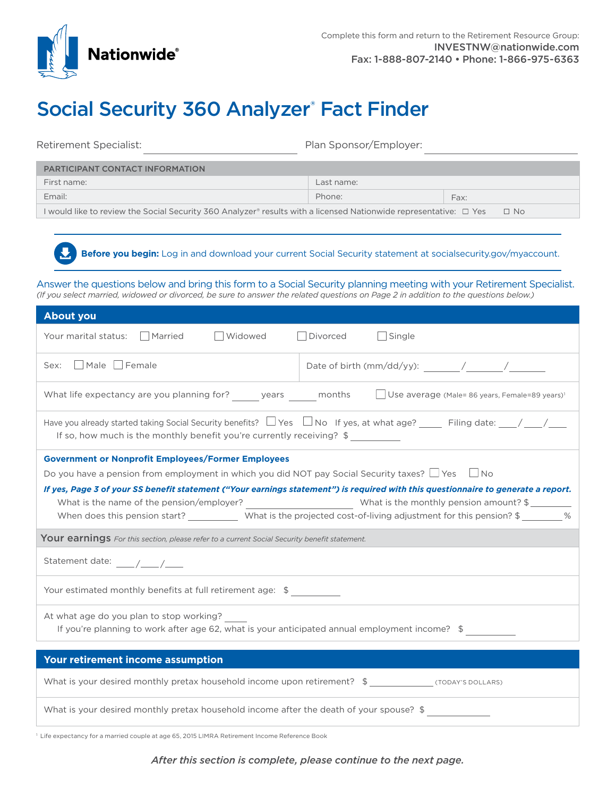

## Social Security 360 Analyzer® Fact Finder

Retirement Specialist: Plan Sponsor/Employer:

| <b>PARTICIPANT CONTACT INFORMATION</b>                                                                                         |            |      |
|--------------------------------------------------------------------------------------------------------------------------------|------------|------|
| First name:                                                                                                                    | Last name: |      |
| Email:                                                                                                                         | Phone:     | Fax: |
| I would like to review the Social Security 360 Analyzer® results with a licensed Nationwide representative: □ Yes<br>$\Box$ No |            |      |

**Before you begin:** Log in and download your current Social Security statement at [socialsecurity.gov/myaccount](http://socialsecurity.gov/myaccount).

Answer the questions below and bring this form to a Social Security planning meeting with your Retirement Specialist. *(If you select married, widowed or divorced, be sure to answer the related questions on Page 2 in addition to the questions below.)*

| <b>About you</b>                                                                                                                                                                                                     |  |  |
|----------------------------------------------------------------------------------------------------------------------------------------------------------------------------------------------------------------------|--|--|
| □ Widowed<br>Divorced<br>$\Box$ Single<br>Your marital status:   Married                                                                                                                                             |  |  |
| Sex: Male Female                                                                                                                                                                                                     |  |  |
| What life expectancy are you planning for? ______ years ______ months $\Box$ Use average (Male= 86 years, Female=89 years) <sup>1</sup>                                                                              |  |  |
| Have you already started taking Social Security benefits? $\Box$ Yes $\Box$ No If yes, at what age? Filing date: $\Box$ / $\Box$<br>If so, how much is the monthly benefit you're currently receiving? $\frac{1}{2}$ |  |  |
| <b>Government or Nonprofit Employees/Former Employees</b>                                                                                                                                                            |  |  |
| Do you have a pension from employment in which you did NOT pay Social Security taxes? $\Box$ Yes $\Box$ No                                                                                                           |  |  |
| If yes, Page 3 of your SS benefit statement ("Your earnings statement") is required with this questionnaire to generate a report.                                                                                    |  |  |
|                                                                                                                                                                                                                      |  |  |
| When does this pension start? _____________ What is the projected cost-of-living adjustment for this pension? \$________%                                                                                            |  |  |
| <b>Your earnings</b> For this section, please refer to a current Social Security benefit statement.                                                                                                                  |  |  |
|                                                                                                                                                                                                                      |  |  |
| Your estimated monthly benefits at full retirement age: \$                                                                                                                                                           |  |  |
| At what age do you plan to stop working?                                                                                                                                                                             |  |  |
| If you're planning to work after age 62, what is your anticipated annual employment income? \$                                                                                                                       |  |  |
|                                                                                                                                                                                                                      |  |  |
| Your retirement income assumption                                                                                                                                                                                    |  |  |
| What is your desired monthly pretax household income upon retirement? \$ _______________ (TODAY'S DOLLARS)                                                                                                           |  |  |
| What is your desired monthly pretax household income after the death of your spouse? \$                                                                                                                              |  |  |

<span id="page-0-0"></span><sup>1</sup> Life expectancy for a married couple at age 65, 2015 LIMRA Retirement Income Reference Book

*After this section is complete, please continue to the next page.*